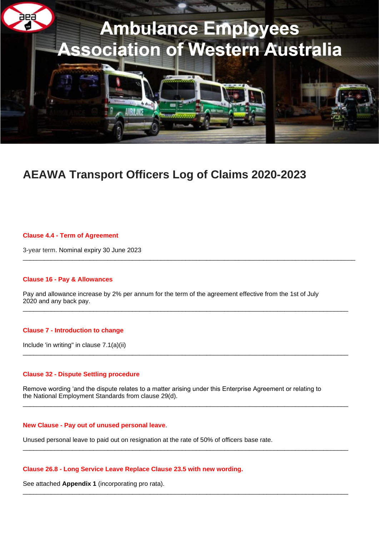

# **AEAWA Transport Officers Log of Claims 2020-2023**

### **Clause 4.4 - Term of Agreement**

3-year term. Nominal expiry 30 June 2023

### **Clause 16 - Pay & Allowances**

Pay and allowance increase by 2% per annum for the term of the agreement effective from the 1st of July 2020 and any back pay.  $\_$  ,  $\_$  ,  $\_$  ,  $\_$  ,  $\_$  ,  $\_$  ,  $\_$  ,  $\_$  ,  $\_$  ,  $\_$  ,  $\_$  ,  $\_$  ,  $\_$  ,  $\_$  ,  $\_$  ,  $\_$  ,  $\_$  ,  $\_$  ,  $\_$  ,  $\_$  ,  $\_$  ,  $\_$  ,  $\_$  ,  $\_$  ,  $\_$  ,  $\_$  ,  $\_$  ,  $\_$  ,  $\_$  ,  $\_$  ,  $\_$  ,  $\_$  ,  $\_$  ,  $\_$  ,  $\_$  ,  $\_$  ,  $\_$  ,

\_\_\_\_\_\_\_\_\_\_\_\_\_\_\_\_\_\_\_\_\_\_\_\_\_\_\_\_\_\_\_\_\_\_\_\_\_\_\_\_\_\_\_\_\_\_\_\_\_\_\_\_\_\_\_\_\_\_\_\_\_\_\_\_\_\_\_\_\_\_\_\_\_\_\_\_\_\_\_\_\_\_\_\_\_\_\_\_\_\_\_\_\_\_

### **Clause 7 - Introduction to change**

Include 'in writing" in clause 7.1(a)(ii)

### **Clause 32 - Dispute Settling procedure**

Remove wording 'and the dispute relates to a matter arising under this Enterprise Agreement or relating to the National Employment Standards from clause 29(d).

 $\_$  ,  $\_$  ,  $\_$  ,  $\_$  ,  $\_$  ,  $\_$  ,  $\_$  ,  $\_$  ,  $\_$  ,  $\_$  ,  $\_$  ,  $\_$  ,  $\_$  ,  $\_$  ,  $\_$  ,  $\_$  ,  $\_$  ,  $\_$  ,  $\_$  ,  $\_$  ,  $\_$  ,  $\_$  ,  $\_$  ,  $\_$  ,  $\_$  ,  $\_$  ,  $\_$  ,  $\_$  ,  $\_$  ,  $\_$  ,  $\_$  ,  $\_$  ,  $\_$  ,  $\_$  ,  $\_$  ,  $\_$  ,  $\_$  ,

 $\_$  ,  $\_$  ,  $\_$  ,  $\_$  ,  $\_$  ,  $\_$  ,  $\_$  ,  $\_$  ,  $\_$  ,  $\_$  ,  $\_$  ,  $\_$  ,  $\_$  ,  $\_$  ,  $\_$  ,  $\_$  ,  $\_$  ,  $\_$  ,  $\_$  ,  $\_$  ,  $\_$  ,  $\_$  ,  $\_$  ,  $\_$  ,  $\_$  ,  $\_$  ,  $\_$  ,  $\_$  ,  $\_$  ,  $\_$  ,  $\_$  ,  $\_$  ,  $\_$  ,  $\_$  ,  $\_$  ,  $\_$  ,  $\_$  ,

 $\_$  ,  $\_$  ,  $\_$  ,  $\_$  ,  $\_$  ,  $\_$  ,  $\_$  ,  $\_$  ,  $\_$  ,  $\_$  ,  $\_$  ,  $\_$  ,  $\_$  ,  $\_$  ,  $\_$  ,  $\_$  ,  $\_$  ,  $\_$  ,  $\_$  ,  $\_$  ,  $\_$  ,  $\_$  ,  $\_$  ,  $\_$  ,  $\_$  ,  $\_$  ,  $\_$  ,  $\_$  ,  $\_$  ,  $\_$  ,  $\_$  ,  $\_$  ,  $\_$  ,  $\_$  ,  $\_$  ,  $\_$  ,  $\_$  ,

 $\_$  ,  $\_$  ,  $\_$  ,  $\_$  ,  $\_$  ,  $\_$  ,  $\_$  ,  $\_$  ,  $\_$  ,  $\_$  ,  $\_$  ,  $\_$  ,  $\_$  ,  $\_$  ,  $\_$  ,  $\_$  ,  $\_$  ,  $\_$  ,  $\_$  ,  $\_$  ,  $\_$  ,  $\_$  ,  $\_$  ,  $\_$  ,  $\_$  ,  $\_$  ,  $\_$  ,  $\_$  ,  $\_$  ,  $\_$  ,  $\_$  ,  $\_$  ,  $\_$  ,  $\_$  ,  $\_$  ,  $\_$  ,  $\_$  ,

### **New Clause - Pay out of unused personal leave**.

Unused personal leave to paid out on resignation at the rate of 50% of officers base rate.

### **Clause 26.8 - Long Service Leave Replace Clause 23.5 with new wording.**

See attached **Appendix 1** (incorporating pro rata).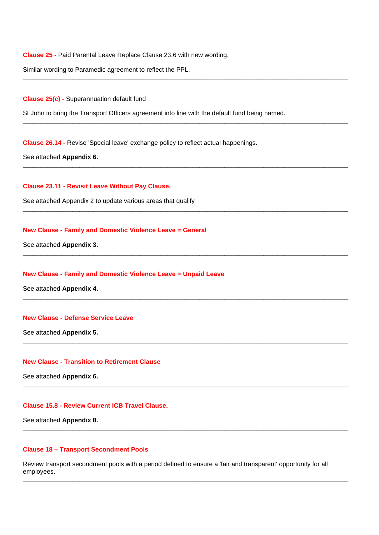**Clause 25 -** Paid Parental Leave Replace Clause 23.6 with new wording.

Similar wording to Paramedic agreement to reflect the PPL.

**Clause 25(c) -** Superannuation default fund

St John to bring the Transport Officers agreement into line with the default fund being named.

\_\_\_\_\_\_\_\_\_\_\_\_\_\_\_\_\_\_\_\_\_\_\_\_\_\_\_\_\_\_\_\_\_\_\_\_\_\_\_\_\_\_\_\_\_\_\_\_\_\_\_\_\_\_\_\_\_\_\_\_\_\_\_\_\_\_\_\_\_\_\_\_\_\_\_\_\_\_\_\_\_\_\_\_\_\_\_\_\_\_\_\_

\_\_\_\_\_\_\_\_\_\_\_\_\_\_\_\_\_\_\_\_\_\_\_\_\_\_\_\_\_\_\_\_\_\_\_\_\_\_\_\_\_\_\_\_\_\_\_\_\_\_\_\_\_\_\_\_\_\_\_\_\_\_\_\_\_\_\_\_\_\_\_\_\_\_\_\_\_\_\_\_\_\_\_\_\_\_\_\_\_\_\_\_

 $\_$  ,  $\_$  ,  $\_$  ,  $\_$  ,  $\_$  ,  $\_$  ,  $\_$  ,  $\_$  ,  $\_$  ,  $\_$  ,  $\_$  ,  $\_$  ,  $\_$  ,  $\_$  ,  $\_$  ,  $\_$  ,  $\_$  ,  $\_$  ,  $\_$  ,  $\_$  ,  $\_$  ,  $\_$  ,  $\_$  ,  $\_$  ,  $\_$  ,  $\_$  ,  $\_$  ,  $\_$  ,  $\_$  ,  $\_$  ,  $\_$  ,  $\_$  ,  $\_$  ,  $\_$  ,  $\_$  ,  $\_$  ,  $\_$  ,

 $\_$  ,  $\_$  ,  $\_$  ,  $\_$  ,  $\_$  ,  $\_$  ,  $\_$  ,  $\_$  ,  $\_$  ,  $\_$  ,  $\_$  ,  $\_$  ,  $\_$  ,  $\_$  ,  $\_$  ,  $\_$  ,  $\_$  ,  $\_$  ,  $\_$  ,  $\_$  ,  $\_$  ,  $\_$  ,  $\_$  ,  $\_$  ,  $\_$  ,  $\_$  ,  $\_$  ,  $\_$  ,  $\_$  ,  $\_$  ,  $\_$  ,  $\_$  ,  $\_$  ,  $\_$  ,  $\_$  ,  $\_$  ,  $\_$  ,

 $\_$  ,  $\_$  ,  $\_$  ,  $\_$  ,  $\_$  ,  $\_$  ,  $\_$  ,  $\_$  ,  $\_$  ,  $\_$  ,  $\_$  ,  $\_$  ,  $\_$  ,  $\_$  ,  $\_$  ,  $\_$  ,  $\_$  ,  $\_$  ,  $\_$  ,  $\_$  ,  $\_$  ,  $\_$  ,  $\_$  ,  $\_$  ,  $\_$  ,  $\_$  ,  $\_$  ,  $\_$  ,  $\_$  ,  $\_$  ,  $\_$  ,  $\_$  ,  $\_$  ,  $\_$  ,  $\_$  ,  $\_$  ,  $\_$  ,

 $\_$  ,  $\_$  ,  $\_$  ,  $\_$  ,  $\_$  ,  $\_$  ,  $\_$  ,  $\_$  ,  $\_$  ,  $\_$  ,  $\_$  ,  $\_$  ,  $\_$  ,  $\_$  ,  $\_$  ,  $\_$  ,  $\_$  ,  $\_$  ,  $\_$  ,  $\_$  ,  $\_$  ,  $\_$  ,  $\_$  ,  $\_$  ,  $\_$  ,  $\_$  ,  $\_$  ,  $\_$  ,  $\_$  ,  $\_$  ,  $\_$  ,  $\_$  ,  $\_$  ,  $\_$  ,  $\_$  ,  $\_$  ,  $\_$  ,

 $\_$  ,  $\_$  ,  $\_$  ,  $\_$  ,  $\_$  ,  $\_$  ,  $\_$  ,  $\_$  ,  $\_$  ,  $\_$  ,  $\_$  ,  $\_$  ,  $\_$  ,  $\_$  ,  $\_$  ,  $\_$  ,  $\_$  ,  $\_$  ,  $\_$  ,  $\_$  ,  $\_$  ,  $\_$  ,  $\_$  ,  $\_$  ,  $\_$  ,  $\_$  ,  $\_$  ,  $\_$  ,  $\_$  ,  $\_$  ,  $\_$  ,  $\_$  ,  $\_$  ,  $\_$  ,  $\_$  ,  $\_$  ,  $\_$  ,

\_\_\_\_\_\_\_\_\_\_\_\_\_\_\_\_\_\_\_\_\_\_\_\_\_\_\_\_\_\_\_\_\_\_\_\_\_\_\_\_\_\_\_\_\_\_\_\_\_\_\_\_\_\_\_\_\_\_\_\_\_\_\_\_\_\_\_\_\_\_\_\_\_\_\_\_\_\_\_\_\_\_\_\_\_\_\_\_\_\_\_\_

 $\_$  ,  $\_$  ,  $\_$  ,  $\_$  ,  $\_$  ,  $\_$  ,  $\_$  ,  $\_$  ,  $\_$  ,  $\_$  ,  $\_$  ,  $\_$  ,  $\_$  ,  $\_$  ,  $\_$  ,  $\_$  ,  $\_$  ,  $\_$  ,  $\_$  ,  $\_$  ,  $\_$  ,  $\_$  ,  $\_$  ,  $\_$  ,  $\_$  ,  $\_$  ,  $\_$  ,  $\_$  ,  $\_$  ,  $\_$  ,  $\_$  ,  $\_$  ,  $\_$  ,  $\_$  ,  $\_$  ,  $\_$  ,  $\_$  ,

 $\_$  ,  $\_$  ,  $\_$  ,  $\_$  ,  $\_$  ,  $\_$  ,  $\_$  ,  $\_$  ,  $\_$  ,  $\_$  ,  $\_$  ,  $\_$  ,  $\_$  ,  $\_$  ,  $\_$  ,  $\_$  ,  $\_$  ,  $\_$  ,  $\_$  ,  $\_$  ,  $\_$  ,  $\_$  ,  $\_$  ,  $\_$  ,  $\_$  ,  $\_$  ,  $\_$  ,  $\_$  ,  $\_$  ,  $\_$  ,  $\_$  ,  $\_$  ,  $\_$  ,  $\_$  ,  $\_$  ,  $\_$  ,  $\_$  ,

**Clause 26.14 -** Revise 'Special leave' exchange policy to reflect actual happenings.

See attached **Appendix 6.**

**Clause 23.11 - Revisit Leave Without Pay Clause.**

See attached Appendix 2 to update various areas that qualify

### **New Clause - Family and Domestic Violence Leave = General**

See attached **Appendix 3.**

### **New Clause - Family and Domestic Violence Leave = Unpaid Leave**

See attached **Appendix 4.**

### **New Clause - Defense Service Leave**

See attached **Appendix 5.**

## **New Clause - Transition to Retirement Clause**

See attached **Appendix 6.**

### **Clause 15.8 - Review Current ICB Travel Clause.**

See attached **Appendix 8.**

### **Clause 18 – Transport Secondment Pools**

Review transport secondment pools with a period defined to ensure a 'fair and transparent' opportunity for all employees.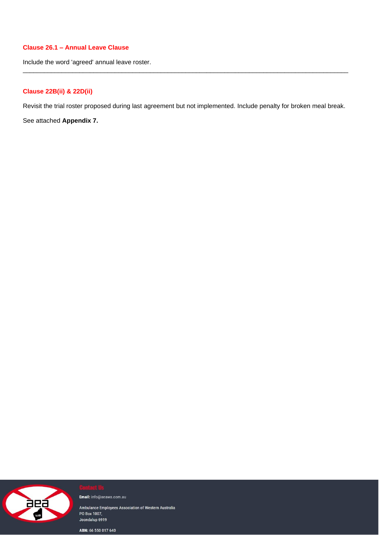# **Clause 26.1 – Annual Leave Clause**

Include the word 'agreed' annual leave roster.

# **Clause 22B(ii) & 22D(ii)**

Revisit the trial roster proposed during last agreement but not implemented. Include penalty for broken meal break.

 $\_$  ,  $\_$  ,  $\_$  ,  $\_$  ,  $\_$  ,  $\_$  ,  $\_$  ,  $\_$  ,  $\_$  ,  $\_$  ,  $\_$  ,  $\_$  ,  $\_$  ,  $\_$  ,  $\_$  ,  $\_$  ,  $\_$  ,  $\_$  ,  $\_$  ,  $\_$  ,  $\_$  ,  $\_$  ,  $\_$  ,  $\_$  ,  $\_$  ,  $\_$  ,  $\_$  ,  $\_$  ,  $\_$  ,  $\_$  ,  $\_$  ,  $\_$  ,  $\_$  ,  $\_$  ,  $\_$  ,  $\_$  ,  $\_$  ,

See attached **Appendix 7.**



Email: info@aeawa.com.au

Ambulance Employees Association of Western Australia PO Box 1007, Joondalup 6919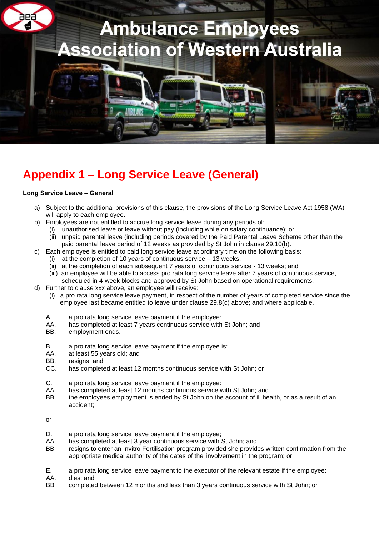

# **Appendix 1 – Long Service Leave (General)**

## **Long Service Leave – General**

- a) Subject to the additional provisions of this clause, the provisions of the Long Service Leave Act 1958 (WA) will apply to each employee.
- b) Employees are not entitled to accrue long service leave during any periods of:
	- (i) unauthorised leave or leave without pay (including while on salary continuance); or
		- (ii) unpaid parental leave (including periods covered by the Paid Parental Leave Scheme other than the paid parental leave period of 12 weeks as provided by St John in clause 29.10(b).
- c) Each employee is entitled to paid long service leave at ordinary time on the following basis:
	- (i) at the completion of 10 years of continuous service 13 weeks.
	- (ii) at the completion of each subsequent 7 years of continuous service 13 weeks; and
	- (iii) an employee will be able to access pro rata long service leave after 7 years of continuous service, scheduled in 4-week blocks and approved by St John based on operational requirements.
- d) Further to clause xxx above, an employee will receive:
	- (i) a pro rata long service leave payment, in respect of the number of years of completed service since the employee last became entitled to leave under clause 29.8(c) above; and where applicable.
	- A. a pro rata long service leave payment if the employee:
	- AA. has completed at least 7 years continuous service with St John; and
	- BB. employment ends.
	- B. a pro rata long service leave payment if the employee is:
	- AA. at least 55 years old; and
	- BB. resigns; and
	- CC. has completed at least 12 months continuous service with St John; or
	- C. a pro rata long service leave payment if the employee:
	- AA has completed at least 12 months continuous service with St John; and
	- BB. the employees employment is ended by St John on the account of ill health, or as a result of an accident;

or

- D. a pro rata long service leave payment if the employee;<br>AA. has completed at least 3 year continuous service with \$
- has completed at least 3 year continuous service with St John; and
- BB resigns to enter an Invitro Fertilisation program provided she provides written confirmation from the appropriate medical authority of the dates of the involvement in the program; or
- E. a pro rata long service leave payment to the executor of the relevant estate if the employee:
- AA. dies; and
- BB completed between 12 months and less than 3 years continuous service with St John; or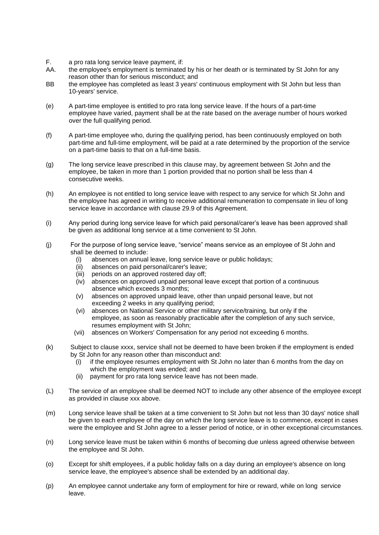- F. a pro rata long service leave payment, if:
- AA. the employee's employment is terminated by his or her death or is terminated by St John for any reason other than for serious misconduct; and
- BB the employee has completed as least 3 years' continuous employment with St John but less than 10-years' service.
- (e) A part-time employee is entitled to pro rata long service leave. If the hours of a part-time employee have varied, payment shall be at the rate based on the average number of hours worked over the full qualifying period.
- (f) A part-time employee who, during the qualifying period, has been continuously employed on both part-time and full-time employment, will be paid at a rate determined by the proportion of the service on a part-time basis to that on a full-time basis.
- (g) The long service leave prescribed in this clause may, by agreement between St John and the employee, be taken in more than 1 portion provided that no portion shall be less than 4 consecutive weeks.
- (h) An employee is not entitled to long service leave with respect to any service for which St John and the employee has agreed in writing to receive additional remuneration to compensate in lieu of long service leave in accordance with clause 29.9 of this Agreement.
- (i) Any period during long service leave for which paid personal/carer's leave has been approved shall be given as additional long service at a time convenient to St John.
- (j) For the purpose of long service leave, "service" means service as an employee of St John and shall be deemed to include:
	- (i) absences on annual leave, long service leave or public holidays;
	- (ii) absences on paid personal/carer's leave;<br>(iii) periods on an approved rostered day off;
	- periods on an approved rostered day off;
	- (iv) absences on approved unpaid personal leave except that portion of a continuous absence which exceeds 3 months;
	- (v) absences on approved unpaid leave, other than unpaid personal leave, but not exceeding 2 weeks in any qualifying period;
	- (vi) absences on National Service or other military service/training, but only if the employee, as soon as reasonably practicable after the completion of any such service, resumes employment with St John;
	- (vii) absences on Workers' Compensation for any period not exceeding 6 months.
- (k) Subject to clause xxxx, service shall not be deemed to have been broken if the employment is ended by St John for any reason other than misconduct and:
	- (i) if the employee resumes employment with St John no later than 6 months from the day on which the employment was ended; and
	- (ii) payment for pro rata long service leave has not been made.
- (L) The service of an employee shall be deemed NOT to include any other absence of the employee except as provided in clause xxx above.
- (m) Long service leave shall be taken at a time convenient to St John but not less than 30 days' notice shall be given to each employee of the day on which the long service leave is to commence, except in cases were the employee and St John agree to a lesser period of notice, or in other exceptional circumstances.
- (n) Long service leave must be taken within 6 months of becoming due unless agreed otherwise between the employee and St John.
- (o) Except for shift employees, if a public holiday falls on a day during an employee's absence on long service leave, the employee's absence shall be extended by an additional day.
- (p) An employee cannot undertake any form of employment for hire or reward, while on long service leave.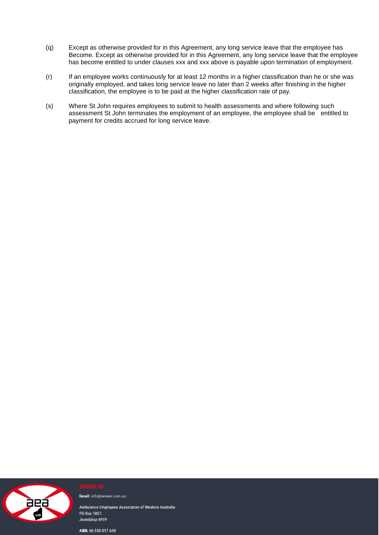- (q) Except as otherwise provided for in this Agreement, any long service leave that the employee has Become. Except as otherwise provided for in this Agreement, any long service leave that the employee has become entitled to under clauses xxx and xxx above is payable upon termination of employment.
- (r) If an employee works continuously for at least 12 months in a higher classification than he or she was originally employed, and takes long service leave no later than 2 weeks after finishing in the higher classification, the employee is to be paid at the higher classification rate of pay.
- (s) Where St John requires employees to submit to health assessments and where following such assessment St John terminates the employment of an employee, the employee shall be entitled to payment for credits accrued for long service leave.



Email: info@aeawa.com.au

Ambulance Employees Association of Western Australia PO Box 1007, Joondalup 6919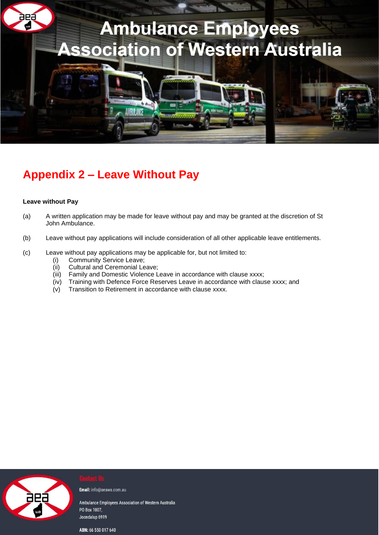

# **Appendix 2 – Leave Without Pay**

## **Leave without Pay**

- (a) A written application may be made for leave without pay and may be granted at the discretion of St John Ambulance.
- (b) Leave without pay applications will include consideration of all other applicable leave entitlements.
- (c) Leave without pay applications may be applicable for, but not limited to:
	- (i) Community Service Leave;
	- (ii) Cultural and Ceremonial Leave;
	- (iii) Family and Domestic Violence Leave in accordance with clause xxxx;
	- (iv) Training with Defence Force Reserves Leave in accordance with clause xxxx; and
	- (v) Transition to Retirement in accordance with clause xxxx.



Email: info@aeawa.com.au

Ambulance Employees Association of Western Australia PO Box 1007, Joondalup 6919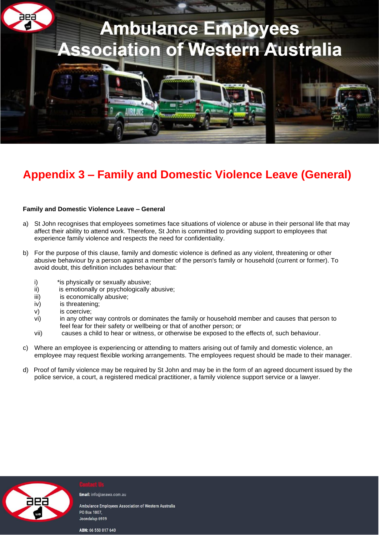

# **Appendix 3 – Family and Domestic Violence Leave (General)**

## **Family and Domestic Violence Leave – General**

- a) St John recognises that employees sometimes face situations of violence or abuse in their personal life that may affect their ability to attend work. Therefore, St John is committed to providing support to employees that experience family violence and respects the need for confidentiality.
- b) For the purpose of this clause, family and domestic violence is defined as any violent, threatening or other abusive behaviour by a person against a member of the person's family or household (current or former). To avoid doubt, this definition includes behaviour that:
	- i) \* is physically or sexually abusive;
	- ii) is emotionally or psychologically abusive:
	- iii) is economically abusive;
	- iv) is threatening;
	- v) is coercive;
	- vi) in any other way controls or dominates the family or household member and causes that person to feel fear for their safety or wellbeing or that of another person; or
	- vii) causes a child to hear or witness, or otherwise be exposed to the effects of, such behaviour.
- c) Where an employee is experiencing or attending to matters arising out of family and domestic violence, an employee may request flexible working arrangements. The employees request should be made to their manager.
- d) Proof of family violence may be required by St John and may be in the form of an agreed document issued by the police service, a court, a registered medical practitioner, a family violence support service or a lawyer.



Email: info@aeawa.com.au

Ambulance Employees Association of Western Australia PO Box 1007 Joondalup 6919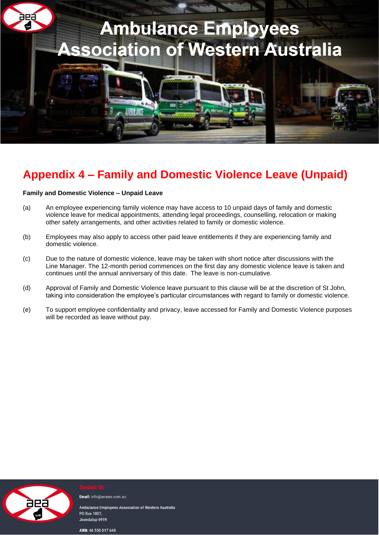

# **Appendix 4 – Family and Domestic Violence Leave (Unpaid)**

## **Family and Domestic Violence – Unpaid Leave**

- (a) An employee experiencing family violence may have access to 10 unpaid days of family and domestic violence leave for medical appointments, attending legal proceedings, counselling, relocation or making other safety arrangements, and other activities related to family or domestic violence.
- (b) Employees may also apply to access other paid leave entitlements if they are experiencing family and domestic violence.
- (c) Due to the nature of domestic violence, leave may be taken with short notice after discussions with the Line Manager. The 12-month period commences on the first day any domestic violence leave is taken and continues until the annual anniversary of this date. The leave is non-cumulative.
- (d) Approval of Family and Domestic Violence leave pursuant to this clause will be at the discretion of St John, taking into consideration the employee's particular circumstances with regard to family or domestic violence.
- (e) To support employee confidentiality and privacy, leave accessed for Family and Domestic Violence purposes will be recorded as leave without pay.



Email: info@aeawa.com.au

Ambulance Emplovees Association of Western Australia PO Box 1007 Joondalup 6919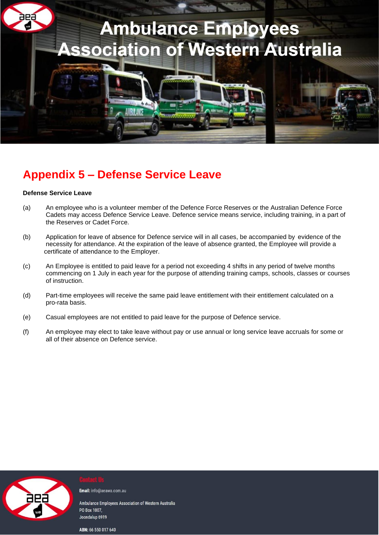

# **Appendix 5 – Defense Service Leave**

## **Defense Service Leave**

- (a) An employee who is a volunteer member of the Defence Force Reserves or the Australian Defence Force Cadets may access Defence Service Leave. Defence service means service, including training, in a part of the Reserves or Cadet Force.
- (b) Application for leave of absence for Defence service will in all cases, be accompanied by evidence of the necessity for attendance. At the expiration of the leave of absence granted, the Employee will provide a certificate of attendance to the Employer.
- (c) An Employee is entitled to paid leave for a period not exceeding 4 shifts in any period of twelve months commencing on 1 July in each year for the purpose of attending training camps, schools, classes or courses of instruction.
- (d) Part-time employees will receive the same paid leave entitlement with their entitlement calculated on a pro-rata basis.
- (e) Casual employees are not entitled to paid leave for the purpose of Defence service.
- (f) An employee may elect to take leave without pay or use annual or long service leave accruals for some or all of their absence on Defence service.



Email: info@aeawa.com.au

Ambulance Employees Association of Western Australia PO Box 1007. Joondalup 6919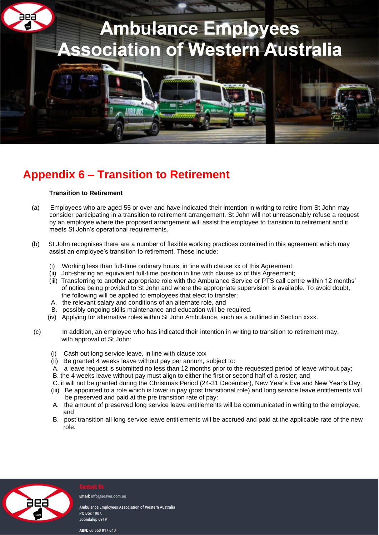

# **Appendix 6 – Transition to Retirement**

## **Transition to Retirement**

- (a) Employees who are aged 55 or over and have indicated their intention in writing to retire from St John may consider participating in a transition to retirement arrangement. St John will not unreasonably refuse a request by an employee where the proposed arrangement will assist the employee to transition to retirement and it meets St John's operational requirements.
- (b) St John recognises there are a number of flexible working practices contained in this agreement which may assist an employee's transition to retirement. These include:
	- (i) Working less than full-time ordinary hours, in line with clause xx of this Agreement;
	- (ii) Job-sharing an equivalent full-time position in line with clause xx of this Agreement;
	- (iii) Transferring to another appropriate role with the Ambulance Service or PTS call centre within 12 months' of notice being provided to St John and where the appropriate supervision is available. To avoid doubt, the following will be applied to employees that elect to transfer:
	- A. the relevant salary and conditions of an alternate role, and
	- B. possibly ongoing skills maintenance and education will be required.
	- (iv) Applying for alternative roles within St John Ambulance, such as a outlined in Section xxxx.
- (c) In addition, an employee who has indicated their intention in writing to transition to retirement may, with approval of St John:
	- (i) Cash out long service leave, in line with clause xxx
	- (ii) Be granted 4 weeks leave without pay per annum, subject to:
	- A. a leave request is submitted no less than 12 months prior to the requested period of leave without pay;
	- B. the 4 weeks leave without pay must align to either the first or second half of a roster; and
	- C. it will not be granted during the Christmas Period (24-31 December), New Year's Eve and New Year's Day.
	- (iii) Be appointed to a role which is lower in pay (post transitional role) and long service leave entitlements will be preserved and paid at the pre transition rate of pay:
	- A. the amount of preserved long service leave entitlements will be communicated in writing to the employee, and
	- B. post transition all long service leave entitlements will be accrued and paid at the applicable rate of the new role.



Email: info@aeawa.com.au

Ambulance Employees Association of Western Australia **PO Box 1007** Joondalup 6919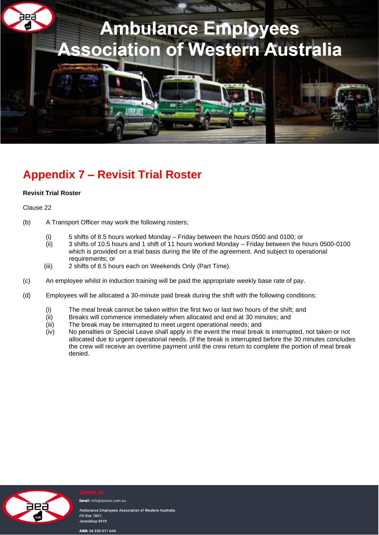

# **Appendix 7 – Revisit Trial Roster**

# **Revisit Trial Roster**

## Clause 22

- (b) A Transport Officer may work the following rosters;
	- (i) 5 shifts of 8.5 hours worked Monday Friday between the hours 0500 and 0100; or
	- (ii) 3 shifts of 10.5 hours and 1 shift of 11 hours worked Monday Friday between the hours 0500-0100 which is provided on a trial basis during the life of the agreement. And subject to operational requirements; or
	- (iii) 2 shifts of 8.5 hours each on Weekends Only (Part Time).
- (c) An employee whilst in induction training will be paid the appropriate weekly base rate of pay.
- (d) Employees will be allocated a 30-minute paid break during the shift with the following conditions:
	- (i) The meal break cannot be taken within the first two or last two hours of the shift; and<br>(ii) Breaks will commence immediately when allocated and end at 30 minutes: and
	- Breaks will commence immediately when allocated and end at 30 minutes; and
	- (iii) The break may be interrupted to meet urgent operational needs; and
	- (iv) No penalties or Special Leave shall apply in the event the meal break is interrupted, not taken or not allocated due to urgent operational needs. (if the break is interrupted before the 30 minutes concludes the crew will receive an overtime payment until the crew return to complete the portion of meal break denied.



Email: info@aeawa.com.au

Ambulance Employees Association of Western Australia PO Box 1007. Joondalup 6919